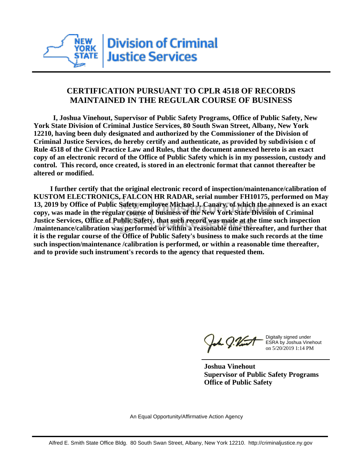

## **CERTIFICATION PURSUANT TO CPLR 4518 OF RECORDS MAINTAINED IN THE REGULAR COURSE OF BUSINESS**

 **I, Joshua Vinehout, Supervisor of Public Safety Programs, Office of Public Safety, New York State Division of Criminal Justice Services, 80 South Swan Street, Albany, New York 12210, having been duly designated and authorized by the Commissioner of the Division of Criminal Justice Services, do hereby certify and authenticate, as provided by subdivision c of Rule 4518 of the Civil Practice Law and Rules, that the document annexed hereto is an exact copy of an electronic record of the Office of Public Safety which is in my possession, custody and control. This record, once created, is stored in an electronic format that cannot thereafter be altered or modified.**

 **I further certify that the original electronic record of inspection/maintenance/calibration of KUSTOM ELECTRONICS, FALCON HR RADAR, serial number FH10175, performed on May 13, 2019 by Office of Public Safety employee Michael J. Canary, of which the annexed is an exact copy, was made in the regular course of business of the New York State Division of Criminal Justice Services, Office of Public Safety, that such record was made at the time such inspection /maintenance/calibration was performed or within a reasonable time thereafter, and further that it is the regular course of the Office of Public Safety's business to make such records at the time such inspection/maintenance /calibration is performed, or within a reasonable time thereafter, and to provide such instrument's records to the agency that requested them.**

the J. Vint

Digitally signed under ESRA by Joshua Vinehout on 5/20/2019 1:14 PM

**Joshua Vinehout Supervisor of Public Safety Programs Office of Public Safety**

An Equal Opportunity/Affirmative Action Agency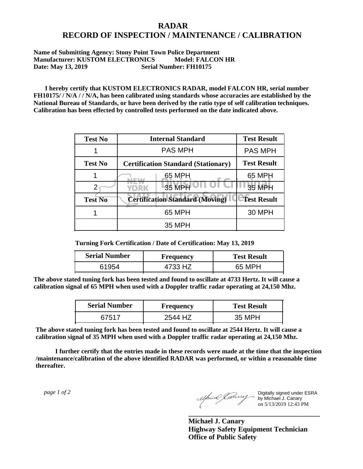## **RADAR RECORD OF INSPECTION / MAINTENANCE / CALIBRATION**

## **Name of Submitting Agency: Stony Point Town Police Department Manufacturer: KUSTOM ELECTRONICS Model: FALCON HR Date: May 13, 2019 Serial Number: FH10175**

 **I hereby certify that KUSTOM ELECTRONICS RADAR, model FALCON HR, serial number FH10175/ / N/A / / N/A, has been calibrated using standards whose accuracies are established by the National Bureau of Standards, or have been derived by the ratio type of self calibration techniques. Calibration has been effected by controlled tests performed on the date indicated above.**

| <b>Test No</b> | <b>Internal Standard</b>                   | <b>Test Result</b> |
|----------------|--------------------------------------------|--------------------|
|                | <b>PAS MPH</b>                             | <b>PAS MPH</b>     |
| <b>Test No</b> | <b>Certification Standard (Stationary)</b> | <b>Test Result</b> |
|                | 65 MPH                                     | 65 MPH             |
|                | 35 MPH<br><b>YORK</b>                      | <b>35 MPH</b>      |
| <b>Test No</b> | <b>Certification Standard (Moving)</b>     | <b>Test Result</b> |
|                | 65 MPH                                     | <b>30 MPH</b>      |
|                | 35 MPH                                     |                    |

**Turning Fork Certification / Date of Certification: May 13, 2019**

| <b>Serial Number</b> | Frequency | <b>Test Result</b> |
|----------------------|-----------|--------------------|
| 61954                | 4733 HZ   | 65 MPH             |

**The above stated tuning fork has been tested and found to oscillate at 4733 Hertz. It will cause a calibration signal of 65 MPH when used with a Doppler traffic radar operating at 24,150 Mhz.**

| <b>Serial Number</b> | Frequency | <b>Test Result</b> |
|----------------------|-----------|--------------------|
| 67517                | 2544 H7   | 35 MPH             |

**The above stated tuning fork has been tested and found to oscillate at 2544 Hertz. It will cause a calibration signal of 35 MPH when used with a Doppler traffic radar operating at 24,150 Mhz.**

 **I further certify that the entries made in these records were made at the time that the inspection /maintenance/calibration of the above identified RADAR was performed, or within a reasonable time thereafter.**

 *page 1 of 2* 

Digitally signed under ESRA by Michael J. Canary on 5/13/2019 12:43 PM

**Michael J. Canary Highway Safety Equipment Technician Office of Public Safety**

**\_\_\_\_\_\_\_\_\_\_\_\_\_\_\_\_\_\_\_\_\_\_\_\_\_\_\_\_\_\_\_\_\_\_\_\_\_**